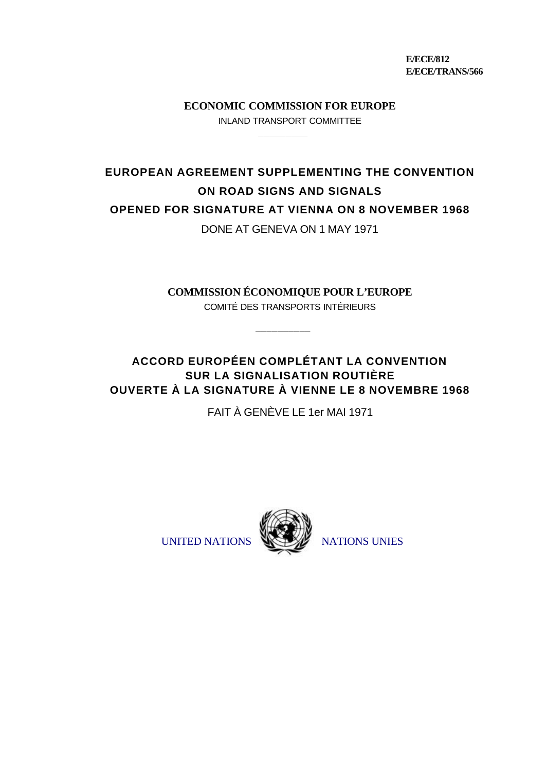**E/ECE/812 E/ECE/TRANS/566**

**ECONOMIC COMMISSION FOR EUROPE** INLAND TRANSPORT COMMITTEE

\_\_\_\_\_\_\_\_\_

**EUROPEAN AGREEMENT SUPPLEMENTING THE CONVENTION ON ROAD SIGNS AND SIGNALS OPENED FOR SIGNATURE AT VIENNA ON 8 NOVEMBER 1968**

DONE AT GENEVA ON 1 MAY 1971

**COMMISSION ÉCONOMIQUE POUR L'EUROPE** COMITÉ DES TRANSPORTS INTÉRIEURS

\_\_\_\_\_\_\_\_\_\_

**ACCORD EUROPÉEN COMPLÉTANT LA CONVENTION SUR LA SIGNALISATION ROUTIÈRE OUVERTE À LA SIGNATURE À VIENNE LE 8 NOVEMBRE 1968**

FAIT À GENÈVE LE 1er MAI 1971



UNITED NATIONS WELLY NATIONS UNIES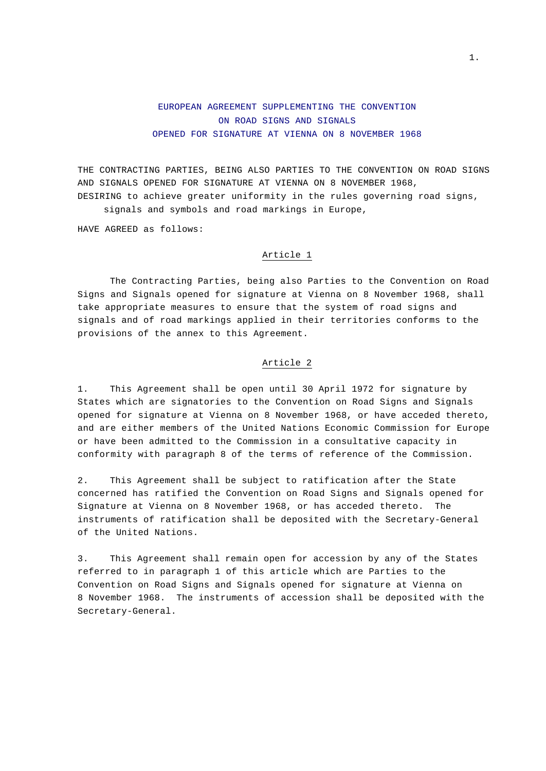# EUROPEAN AGREEMENT SUPPLEMENTING THE CONVENTION ON ROAD SIGNS AND SIGNALS OPENED FOR SIGNATURE AT VIENNA ON 8 NOVEMBER 1968

THE CONTRACTING PARTIES, BEING ALSO PARTIES TO THE CONVENTION ON ROAD SIGNS AND SIGNALS OPENED FOR SIGNATURE AT VIENNA ON 8 NOVEMBER 1968, DESIRING to achieve greater uniformity in the rules governing road signs, signals and symbols and road markings in Europe,

HAVE AGREED as follows:

# Article 1

The Contracting Parties, being also Parties to the Convention on Road Signs and Signals opened for signature at Vienna on 8 November 1968, shall take appropriate measures to ensure that the system of road signs and signals and of road markings applied in their territories conforms to the provisions of the annex to this Agreement.

#### Article 2

1. This Agreement shall be open until 30 April 1972 for signature by States which are signatories to the Convention on Road Signs and Signals opened for signature at Vienna on 8 November 1968, or have acceded thereto, and are either members of the United Nations Economic Commission for Europe or have been admitted to the Commission in a consultative capacity in conformity with paragraph 8 of the terms of reference of the Commission.

2. This Agreement shall be subject to ratification after the State concerned has ratified the Convention on Road Signs and Signals opened for Signature at Vienna on 8 November 1968, or has acceded thereto. The instruments of ratification shall be deposited with the Secretary-General of the United Nations.

3. This Agreement shall remain open for accession by any of the States referred to in paragraph 1 of this article which are Parties to the Convention on Road Signs and Signals opened for signature at Vienna on 8 November 1968. The instruments of accession shall be deposited with the Secretary-General.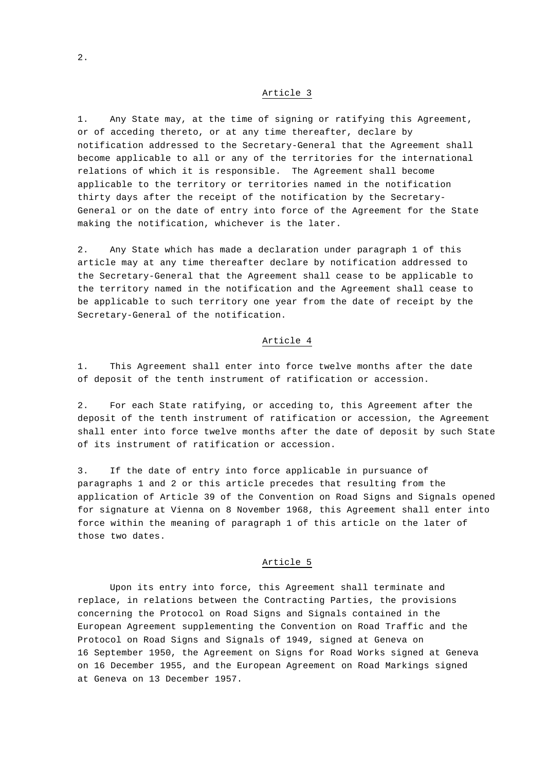1. Any State may, at the time of signing or ratifying this Agreement, or of acceding thereto, or at any time thereafter, declare by notification addressed to the Secretary-General that the Agreement shall become applicable to all or any of the territories for the international relations of which it is responsible. The Agreement shall become applicable to the territory or territories named in the notification thirty days after the receipt of the notification by the Secretary-General or on the date of entry into force of the Agreement for the State making the notification, whichever is the later.

2. Any State which has made a declaration under paragraph 1 of this article may at any time thereafter declare by notification addressed to the Secretary-General that the Agreement shall cease to be applicable to the territory named in the notification and the Agreement shall cease to be applicable to such territory one year from the date of receipt by the Secretary-General of the notification.

#### Article 4

1. This Agreement shall enter into force twelve months after the date of deposit of the tenth instrument of ratification or accession.

2. For each State ratifying, or acceding to, this Agreement after the deposit of the tenth instrument of ratification or accession, the Agreement shall enter into force twelve months after the date of deposit by such State of its instrument of ratification or accession.

3. If the date of entry into force applicable in pursuance of paragraphs 1 and 2 or this article precedes that resulting from the application of Article 39 of the Convention on Road Signs and Signals opened for signature at Vienna on 8 November 1968, this Agreement shall enter into force within the meaning of paragraph 1 of this article on the later of those two dates.

## Article 5

Upon its entry into force, this Agreement shall terminate and replace, in relations between the Contracting Parties, the provisions concerning the Protocol on Road Signs and Signals contained in the European Agreement supplementing the Convention on Road Traffic and the Protocol on Road Signs and Signals of 1949, signed at Geneva on 16 September 1950, the Agreement on Signs for Road Works signed at Geneva on 16 December 1955, and the European Agreement on Road Markings signed at Geneva on 13 December 1957.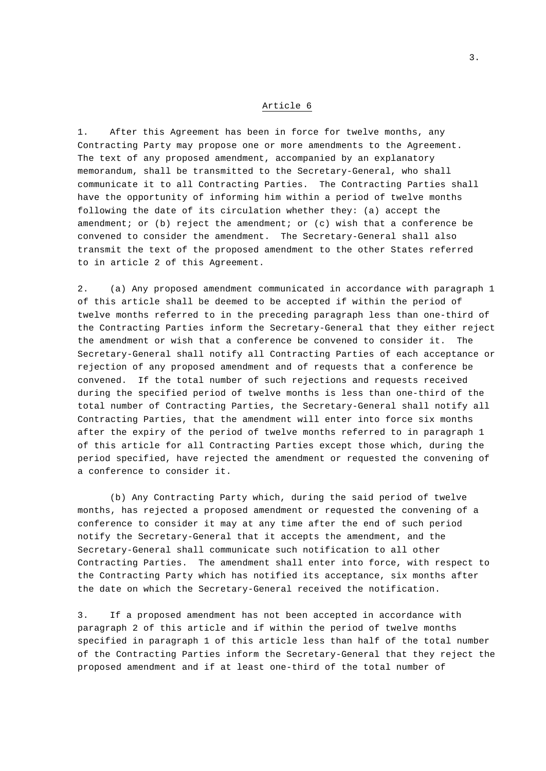1. After this Agreement has been in force for twelve months, any Contracting Party may propose one or more amendments to the Agreement. The text of any proposed amendment, accompanied by an explanatory memorandum, shall be transmitted to the Secretary-General, who shall communicate it to all Contracting Parties. The Contracting Parties shall have the opportunity of informing him within a period of twelve months following the date of its circulation whether they: (a) accept the amendment; or (b) reject the amendment; or (c) wish that a conference be convened to consider the amendment. The Secretary-General shall also transmit the text of the proposed amendment to the other States referred to in article 2 of this Agreement.

2. (a) Any proposed amendment communicated in accordance with paragraph 1 of this article shall be deemed to be accepted if within the period of twelve months referred to in the preceding paragraph less than one-third of the Contracting Parties inform the Secretary-General that they either reject the amendment or wish that a conference be convened to consider it. The Secretary-General shall notify all Contracting Parties of each acceptance or rejection of any proposed amendment and of requests that a conference be convened. If the total number of such rejections and requests received during the specified period of twelve months is less than one-third of the total number of Contracting Parties, the Secretary-General shall notify all Contracting Parties, that the amendment will enter into force six months after the expiry of the period of twelve months referred to in paragraph 1 of this article for all Contracting Parties except those which, during the period specified, have rejected the amendment or requested the convening of a conference to consider it.

(b) Any Contracting Party which, during the said period of twelve months, has rejected a proposed amendment or requested the convening of a conference to consider it may at any time after the end of such period notify the Secretary-General that it accepts the amendment, and the Secretary-General shall communicate such notification to all other Contracting Parties. The amendment shall enter into force, with respect to the Contracting Party which has notified its acceptance, six months after the date on which the Secretary-General received the notification.

3. If a proposed amendment has not been accepted in accordance with paragraph 2 of this article and if within the period of twelve months specified in paragraph 1 of this article less than half of the total number of the Contracting Parties inform the Secretary-General that they reject the proposed amendment and if at least one-third of the total number of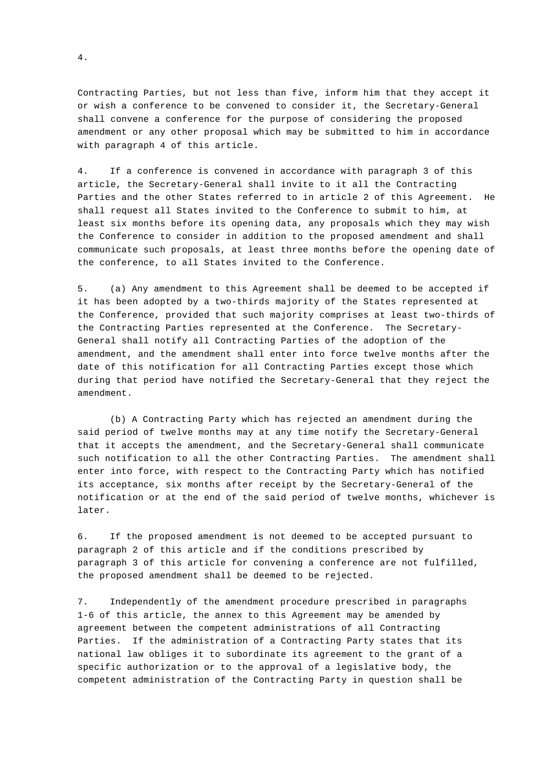Contracting Parties, but not less than five, inform him that they accept it or wish a conference to be convened to consider it, the Secretary-General shall convene a conference for the purpose of considering the proposed amendment or any other proposal which may be submitted to him in accordance with paragraph 4 of this article.

4. If a conference is convened in accordance with paragraph 3 of this article, the Secretary-General shall invite to it all the Contracting Parties and the other States referred to in article 2 of this Agreement. He shall request all States invited to the Conference to submit to him, at least six months before its opening data, any proposals which they may wish the Conference to consider in addition to the proposed amendment and shall communicate such proposals, at least three months before the opening date of the conference, to all States invited to the Conference.

5. (a) Any amendment to this Agreement shall be deemed to be accepted if it has been adopted by a two-thirds majority of the States represented at the Conference, provided that such majority comprises at least two-thirds of the Contracting Parties represented at the Conference. The Secretary-General shall notify all Contracting Parties of the adoption of the amendment, and the amendment shall enter into force twelve months after the date of this notification for all Contracting Parties except those which during that period have notified the Secretary-General that they reject the amendment.

(b) A Contracting Party which has rejected an amendment during the said period of twelve months may at any time notify the Secretary-General that it accepts the amendment, and the Secretary-General shall communicate such notification to all the other Contracting Parties. The amendment shall enter into force, with respect to the Contracting Party which has notified its acceptance, six months after receipt by the Secretary-General of the notification or at the end of the said period of twelve months, whichever is later.

6. If the proposed amendment is not deemed to be accepted pursuant to paragraph 2 of this article and if the conditions prescribed by paragraph 3 of this article for convening a conference are not fulfilled, the proposed amendment shall be deemed to be rejected.

7. Independently of the amendment procedure prescribed in paragraphs 1-6 of this article, the annex to this Agreement may be amended by agreement between the competent administrations of all Contracting Parties. If the administration of a Contracting Party states that its national law obliges it to subordinate its agreement to the grant of a specific authorization or to the approval of a legislative body, the competent administration of the Contracting Party in question shall be

4.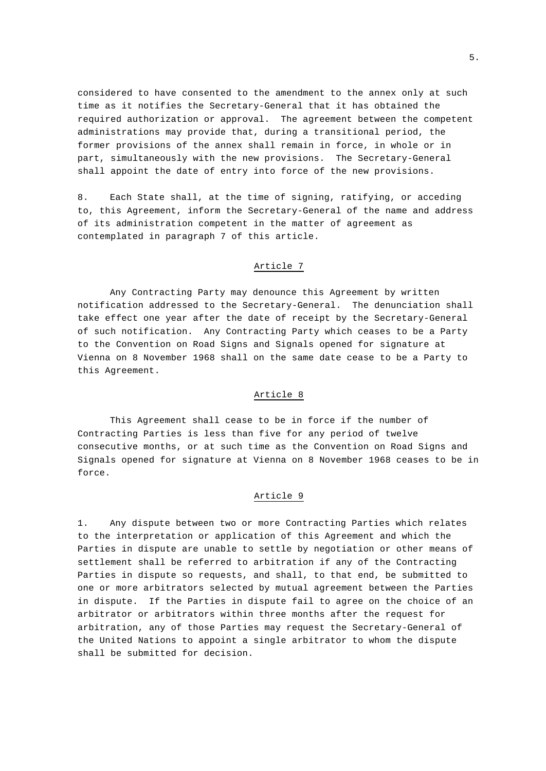considered to have consented to the amendment to the annex only at such time as it notifies the Secretary-General that it has obtained the required authorization or approval. The agreement between the competent administrations may provide that, during a transitional period, the former provisions of the annex shall remain in force, in whole or in part, simultaneously with the new provisions. The Secretary-General shall appoint the date of entry into force of the new provisions.

8. Each State shall, at the time of signing, ratifying, or acceding to, this Agreement, inform the Secretary-General of the name and address of its administration competent in the matter of agreement as contemplated in paragraph 7 of this article.

#### Article 7

Any Contracting Party may denounce this Agreement by written notification addressed to the Secretary-General. The denunciation shall take effect one year after the date of receipt by the Secretary-General of such notification. Any Contracting Party which ceases to be a Party to the Convention on Road Signs and Signals opened for signature at Vienna on 8 November 1968 shall on the same date cease to be a Party to this Agreement.

# Article 8

This Agreement shall cease to be in force if the number of Contracting Parties is less than five for any period of twelve consecutive months, or at such time as the Convention on Road Signs and Signals opened for signature at Vienna on 8 November 1968 ceases to be in force.

# Article 9

1. Any dispute between two or more Contracting Parties which relates to the interpretation or application of this Agreement and which the Parties in dispute are unable to settle by negotiation or other means of settlement shall be referred to arbitration if any of the Contracting Parties in dispute so requests, and shall, to that end, be submitted to one or more arbitrators selected by mutual agreement between the Parties in dispute. If the Parties in dispute fail to agree on the choice of an arbitrator or arbitrators within three months after the request for arbitration, any of those Parties may request the Secretary-General of the United Nations to appoint a single arbitrator to whom the dispute shall be submitted for decision.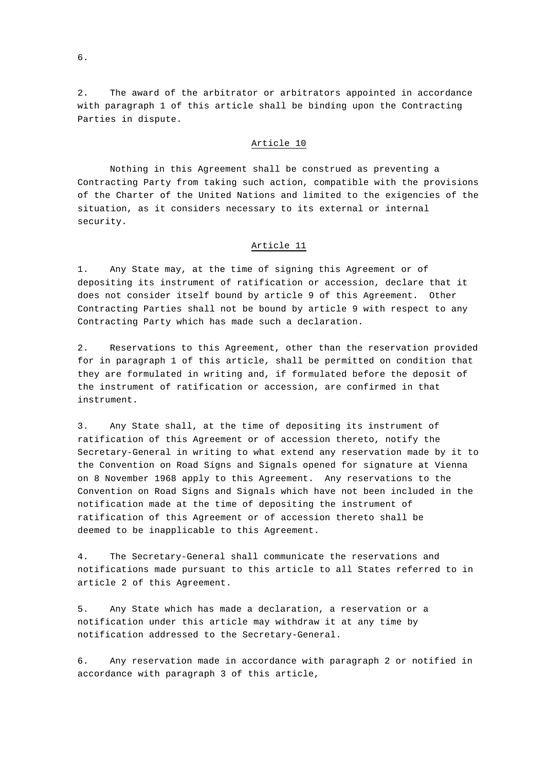2. The award of the arbitrator or arbitrators appointed in accordance with paragraph 1 of this article shall be binding upon the Contracting Parties in dispute.

#### Article 10

Nothing in this Agreement shall be construed as preventing a Contracting Party from taking such action, compatible with the provisions of the Charter of the United Nations and limited to the exigencies of the situation, as it considers necessary to its external or internal security.

#### Article 11

1. Any State may, at the time of signing this Agreement or of depositing its instrument of ratification or accession, declare that it does not consider itself bound by article 9 of this Agreement. Other Contracting Parties shall not be bound by article 9 with respect to any Contracting Party which has made such a declaration.

2. Reservations to this Agreement, other than the reservation provided for in paragraph 1 of this article, shall be permitted on condition that they are formulated in writing and, if formulated before the deposit of the instrument of ratification or accession, are confirmed in that instrument.

3. Any State shall, at the time of depositing its instrument of ratification of this Agreement or of accession thereto, notify the Secretary-General in writing to what extend any reservation made by it to the Convention on Road Signs and Signals opened for signature at Vienna on 8 November 1968 apply to this Agreement. Any reservations to the Convention on Road Signs and Signals which have not been included in the notification made at the time of depositing the instrument of ratification of this Agreement or of accession thereto shall be deemed to be inapplicable to this Agreement.

4. The Secretary-General shall communicate the reservations and notifications made pursuant to this article to all States referred to in article 2 of this Agreement.

5. Any State which has made a declaration, a reservation or a notification under this article may withdraw it at any time by notification addressed to the Secretary-General.

6. Any reservation made in accordance with paragraph 2 or notified in accordance with paragraph 3 of this article,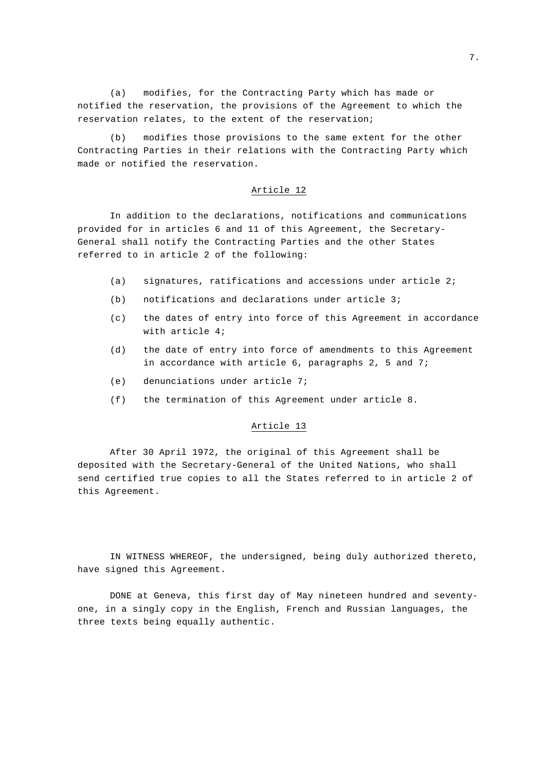(a) modifies, for the Contracting Party which has made or notified the reservation, the provisions of the Agreement to which the reservation relates, to the extent of the reservation;

(b) modifies those provisions to the same extent for the other Contracting Parties in their relations with the Contracting Party which made or notified the reservation.

#### Article 12

In addition to the declarations, notifications and communications provided for in articles 6 and 11 of this Agreement, the Secretary-General shall notify the Contracting Parties and the other States referred to in article 2 of the following:

- (a) signatures, ratifications and accessions under article 2;
- (b) notifications and declarations under article 3;
- (c) the dates of entry into force of this Agreement in accordance with article 4;
- (d) the date of entry into force of amendments to this Agreement in accordance with article 6, paragraphs 2, 5 and 7;
- (e) denunciations under article 7;
- (f) the termination of this Agreement under article 8.

#### Article 13

After 30 April 1972, the original of this Agreement shall be deposited with the Secretary-General of the United Nations, who shall send certified true copies to all the States referred to in article 2 of this Agreement.

IN WITNESS WHEREOF, the undersigned, being duly authorized thereto, have signed this Agreement.

DONE at Geneva, this first day of May nineteen hundred and seventyone, in a singly copy in the English, French and Russian languages, the three texts being equally authentic.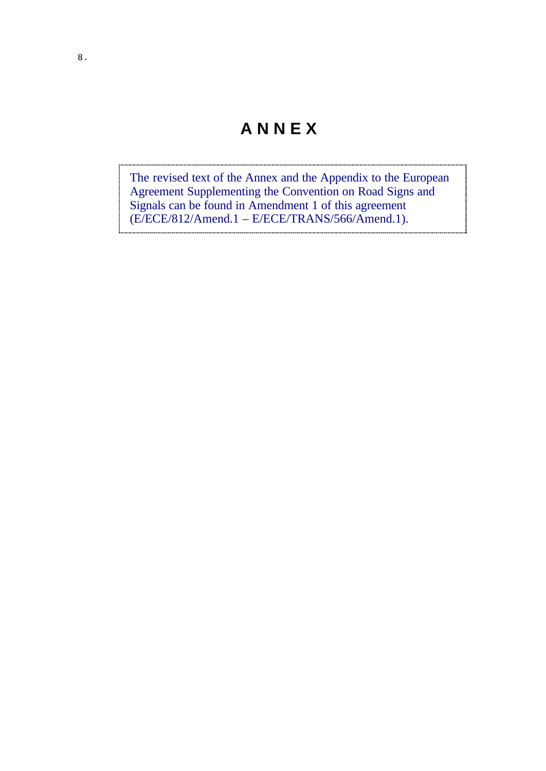# **A N N E X**

The revised text of the Annex and the Appendix to the European Agreement Supplementing the Convention on Road Signs and Signals can be found in Amendment 1 of this agreement (E/ECE/812/Amend.1 – E/ECE/TRANS/566/Amend.1).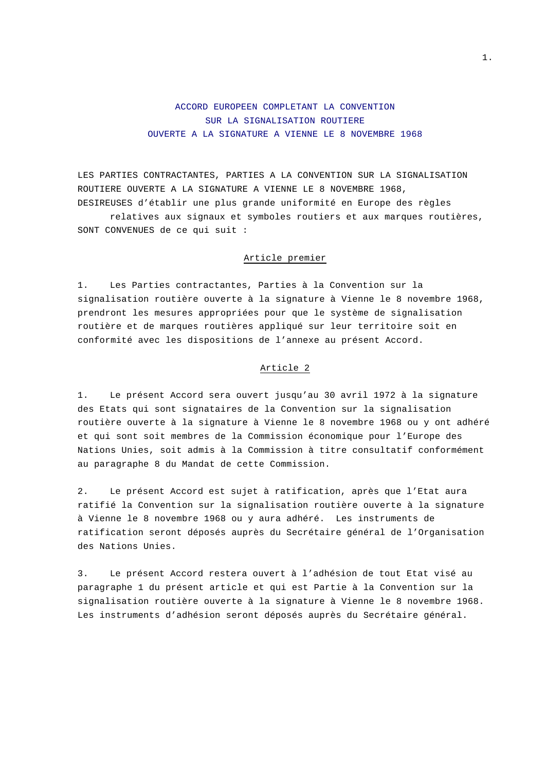# ACCORD EUROPEEN COMPLETANT LA CONVENTION SUR LA SIGNALISATION ROUTIERE OUVERTE A LA SIGNATURE A VIENNE LE 8 NOVEMBRE 1968

LES PARTIES CONTRACTANTES, PARTIES A LA CONVENTION SUR LA SIGNALISATION ROUTIERE OUVERTE A LA SIGNATURE A VIENNE LE 8 NOVEMBRE 1968, DESIREUSES d'établir une plus grande uniformité en Europe des règles

relatives aux signaux et symboles routiers et aux marques routières, SONT CONVENUES de ce qui suit :

## Article premier

1. Les Parties contractantes, Parties à la Convention sur la signalisation routière ouverte à la signature à Vienne le 8 novembre 1968, prendront les mesures appropriées pour que le système de signalisation routière et de marques routières appliqué sur leur territoire soit en conformité avec les dispositions de l'annexe au présent Accord.

# Article 2

1. Le présent Accord sera ouvert jusqu'au 30 avril 1972 à la signature des Etats qui sont signataires de la Convention sur la signalisation routière ouverte à la signature à Vienne le 8 novembre 1968 ou y ont adhéré et qui sont soit membres de la Commission économique pour l'Europe des Nations Unies, soit admis à la Commission à titre consultatif conformément au paragraphe 8 du Mandat de cette Commission.

2. Le présent Accord est sujet à ratification, après que l'Etat aura ratifié la Convention sur la signalisation routière ouverte à la signature à Vienne le 8 novembre 1968 ou y aura adhéré. Les instruments de ratification seront déposés auprès du Secrétaire général de l'Organisation des Nations Unies.

3. Le présent Accord restera ouvert à l'adhésion de tout Etat visé au paragraphe 1 du présent article et qui est Partie à la Convention sur la signalisation routière ouverte à la signature à Vienne le 8 novembre 1968. Les instruments d'adhésion seront déposés auprès du Secrétaire général.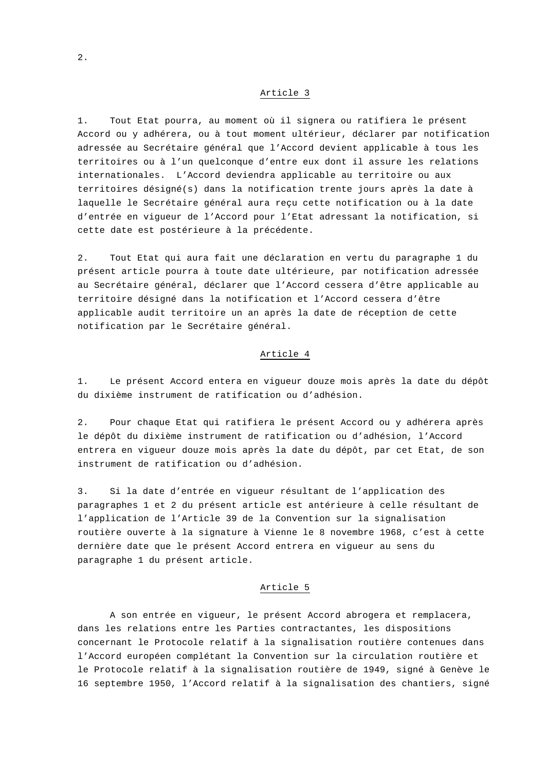1. Tout Etat pourra, au moment où il signera ou ratifiera le présent Accord ou y adhérera, ou à tout moment ultérieur, déclarer par notification adressée au Secrétaire général que l'Accord devient applicable à tous les territoires ou à l'un quelconque d'entre eux dont il assure les relations internationales. L'Accord deviendra applicable au territoire ou aux territoires désigné(s) dans la notification trente jours après la date à laquelle le Secrétaire général aura reçu cette notification ou à la date d'entrée en vigueur de l'Accord pour l'Etat adressant la notification, si cette date est postérieure à la précédente.

2. Tout Etat qui aura fait une déclaration en vertu du paragraphe 1 du présent article pourra à toute date ultérieure, par notification adressée au Secrétaire général, déclarer que l'Accord cessera d'être applicable au territoire désigné dans la notification et l'Accord cessera d'être applicable audit territoire un an après la date de réception de cette notification par le Secrétaire général.

## Article 4

1. Le présent Accord entera en vigueur douze mois après la date du dépôt du dixième instrument de ratification ou d'adhésion.

2. Pour chaque Etat qui ratifiera le présent Accord ou y adhérera après le dépôt du dixième instrument de ratification ou d'adhésion, l'Accord entrera en vigueur douze mois après la date du dépôt, par cet Etat, de son instrument de ratification ou d'adhésion.

3. Si la date d'entrée en vigueur résultant de l'application des paragraphes 1 et 2 du présent article est antérieure à celle résultant de l'application de l'Article 39 de la Convention sur la signalisation routière ouverte à la signature à Vienne le 8 novembre 1968, c'est à cette dernière date que le présent Accord entrera en vigueur au sens du paragraphe 1 du présent article.

#### Article 5

A son entrée en vigueur, le présent Accord abrogera et remplacera, dans les relations entre les Parties contractantes, les dispositions concernant le Protocole relatif à la signalisation routière contenues dans l'Accord européen complétant la Convention sur la circulation routière et le Protocole relatif à la signalisation routière de 1949, signé à Genève le 16 septembre 1950, l'Accord relatif à la signalisation des chantiers, signé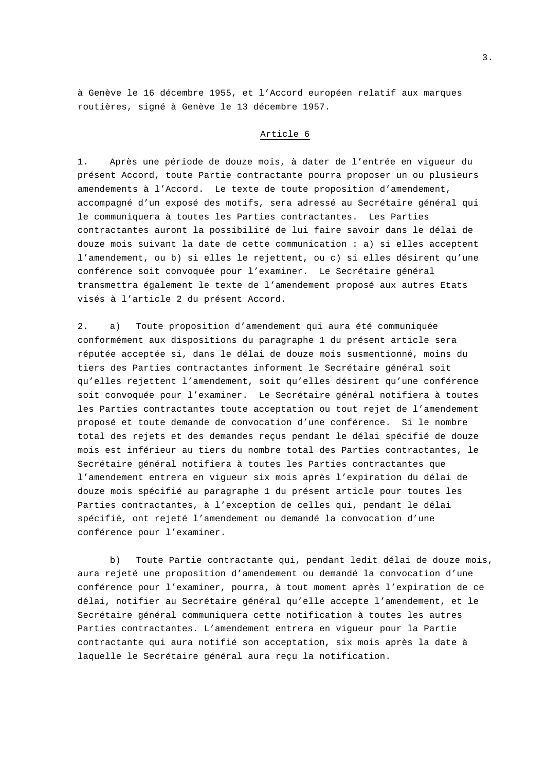à Genève le 16 décembre 1955, et l'Accord européen relatif aux marques routières, signé à Genève le 13 décembre 1957.

# Article 6

1. Après une période de douze mois, à dater de l'entrée en vigueur du présent Accord, toute Partie contractante pourra proposer un ou plusieurs amendements à l'Accord. Le texte de toute proposition d'amendement, accompagné d'un exposé des motifs, sera adressé au Secrétaire général qui le communiquera à toutes les Parties contractantes. Les Parties contractantes auront la possibilité de lui faire savoir dans le délai de douze mois suivant la date de cette communication : a) si elles acceptent l'amendement, ou b) si elles le rejettent, ou c) si elles désirent qu'une conférence soit convoquée pour l'examiner. Le Secrétaire général transmettra également le texte de l'amendement proposé aux autres Etats visés à l'article 2 du présent Accord.

2. a) Toute proposition d'amendement qui aura été communiquée conformément aux dispositions du paragraphe 1 du présent article sera réputée acceptée si, dans le délai de douze mois susmentionné, moins du tiers des Parties contractantes informent le Secrétaire général soit qu'elles rejettent l'amendement, soit qu'elles désirent qu'une conférence soit convoquée pour l'examiner. Le Secrétaire général notifiera à toutes les Parties contractantes toute acceptation ou tout rejet de l'amendement proposé et toute demande de convocation d'une conférence. Si le nombre total des rejets et des demandes reçus pendant le délai spécifié de douze mois est inférieur au tiers du nombre total des Parties contractantes, le Secrétaire général notifiera à toutes les Parties contractantes que l'amendement entrera en vigueur six mois après l'expiration du délai de douze mois spécifié au paragraphe 1 du présent article pour toutes les Parties contractantes, à l'exception de celles qui, pendant le délai spécifié, ont rejeté l'amendement ou demandé la convocation d'une conférence pour l'examiner.

b) Toute Partie contractante qui, pendant ledit délai de douze mois, aura rejeté une proposition d'amendement ou demandé la convocation d'une conférence pour l'examiner, pourra, à tout moment après l'expiration de ce délai, notifier au Secrétaire général qu'elle accepte l'amendement, et le Secrétaire général communiquera cette notification à toutes les autres Parties contractantes. L'amendement entrera en vigueur pour la Partie contractante qui aura notifié son acceptation, six mois après la date à laquelle le Secrétaire général aura reçu la notification.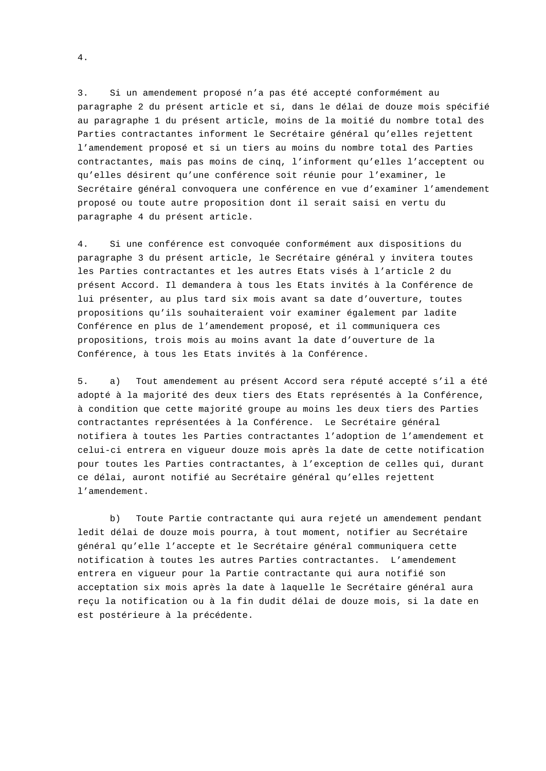3. Si un amendement proposé n'a pas été accepté conformément au paragraphe 2 du présent article et si, dans le délai de douze mois spécifié au paragraphe 1 du présent article, moins de la moitié du nombre total des Parties contractantes informent le Secrétaire général qu'elles rejettent l'amendement proposé et si un tiers au moins du nombre total des Parties contractantes, mais pas moins de cinq, l'informent qu'elles l'acceptent ou qu'elles désirent qu'une conférence soit réunie pour l'examiner, le Secrétaire général convoquera une conférence en vue d'examiner l'amendement proposé ou toute autre proposition dont il serait saisi en vertu du paragraphe 4 du présent article.

4. Si une conférence est convoquée conformément aux dispositions du paragraphe 3 du présent article, le Secrétaire général y invitera toutes les Parties contractantes et les autres Etats visés à l'article 2 du présent Accord. Il demandera à tous les Etats invités à la Conférence de lui présenter, au plus tard six mois avant sa date d'ouverture, toutes propositions qu'ils souhaiteraient voir examiner également par ladite Conférence en plus de l'amendement proposé, et il communiquera ces propositions, trois mois au moins avant la date d'ouverture de la Conférence, à tous les Etats invités à la Conférence.

5. a) Tout amendement au présent Accord sera réputé accepté s'il a été adopté à la majorité des deux tiers des Etats représentés à la Conférence, à condition que cette majorité groupe au moins les deux tiers des Parties contractantes représentées à la Conférence. Le Secrétaire général notifiera à toutes les Parties contractantes l'adoption de l'amendement et celui-ci entrera en vigueur douze mois après la date de cette notification pour toutes les Parties contractantes, à l'exception de celles qui, durant ce délai, auront notifié au Secrétaire général qu'elles rejettent l'amendement.

b) Toute Partie contractante qui aura rejeté un amendement pendant ledit délai de douze mois pourra, à tout moment, notifier au Secrétaire général qu'elle l'accepte et le Secrétaire général communiquera cette notification à toutes les autres Parties contractantes. L'amendement entrera en vigueur pour la Partie contractante qui aura notifié son acceptation six mois après la date à laquelle le Secrétaire général aura reçu la notification ou à la fin dudit délai de douze mois, si la date en est postérieure à la précédente.

4.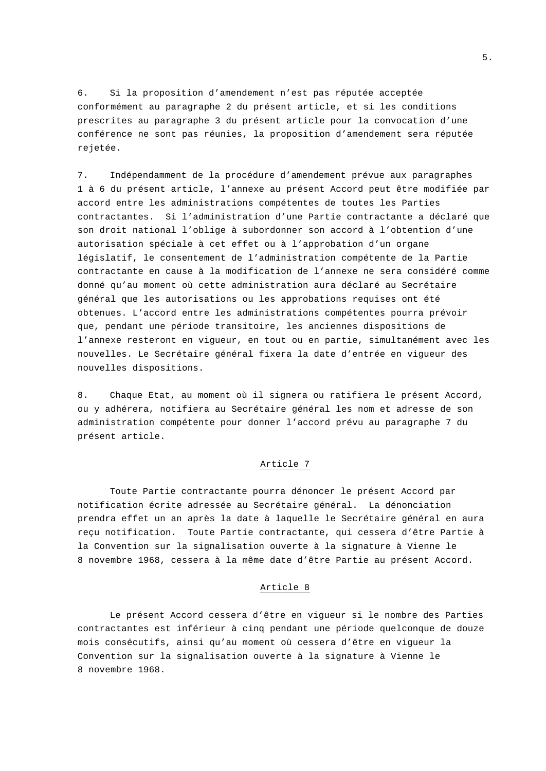6. Si la proposition d'amendement n'est pas réputée acceptée conformément au paragraphe 2 du présent article, et si les conditions prescrites au paragraphe 3 du présent article pour la convocation d'une conférence ne sont pas réunies, la proposition d'amendement sera réputée rejetée.

7. Indépendamment de la procédure d'amendement prévue aux paragraphes 1 à 6 du présent article, l'annexe au présent Accord peut être modifiée par accord entre les administrations compétentes de toutes les Parties contractantes. Si l'administration d'une Partie contractante a déclaré que son droit national l'oblige à subordonner son accord à l'obtention d'une autorisation spéciale à cet effet ou à l'approbation d'un organe législatif, le consentement de l'administration compétente de la Partie contractante en cause à la modification de l'annexe ne sera considéré comme donné qu'au moment où cette administration aura déclaré au Secrétaire général que les autorisations ou les approbations requises ont été obtenues. L'accord entre les administrations compétentes pourra prévoir que, pendant une période transitoire, les anciennes dispositions de l'annexe resteront en vigueur, en tout ou en partie, simultanément avec les nouvelles. Le Secrétaire général fixera la date d'entrée en vigueur des nouvelles dispositions.

8. Chaque Etat, au moment où il signera ou ratifiera le présent Accord, ou y adhérera, notifiera au Secrétaire général les nom et adresse de son administration compétente pour donner l'accord prévu au paragraphe 7 du présent article.

#### Article 7

Toute Partie contractante pourra dénoncer le présent Accord par notification écrite adressée au Secrétaire général. La dénonciation prendra effet un an après la date à laquelle le Secrétaire général en aura reçu notification. Toute Partie contractante, qui cessera d'être Partie à la Convention sur la signalisation ouverte à la signature à Vienne le 8 novembre 1968, cessera à la même date d'être Partie au présent Accord.

#### Article 8

Le présent Accord cessera d'être en vigueur si le nombre des Parties contractantes est inférieur à cinq pendant une période quelconque de douze mois consécutifs, ainsi qu'au moment où cessera d'être en vigueur la Convention sur la signalisation ouverte à la signature à Vienne le 8 novembre 1968.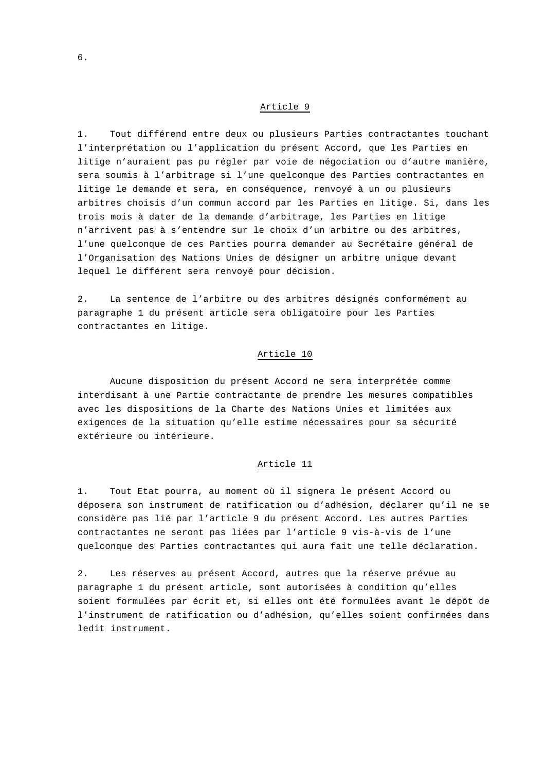1. Tout différend entre deux ou plusieurs Parties contractantes touchant l'interprétation ou l'application du présent Accord, que les Parties en litige n'auraient pas pu régler par voie de négociation ou d'autre manière, sera soumis à l'arbitrage si l'une quelconque des Parties contractantes en litige le demande et sera, en conséquence, renvoyé à un ou plusieurs arbitres choisis d'un commun accord par les Parties en litige. Si, dans les trois mois à dater de la demande d'arbitrage, les Parties en litige n'arrivent pas à s'entendre sur le choix d'un arbitre ou des arbitres, l'une quelconque de ces Parties pourra demander au Secrétaire général de l'Organisation des Nations Unies de désigner un arbitre unique devant lequel le différent sera renvoyé pour décision.

2. La sentence de l'arbitre ou des arbitres désignés conformément au paragraphe 1 du présent article sera obligatoire pour les Parties contractantes en litige.

#### Article 10

Aucune disposition du présent Accord ne sera interprétée comme interdisant à une Partie contractante de prendre les mesures compatibles avec les dispositions de la Charte des Nations Unies et limitées aux exigences de la situation qu'elle estime nécessaires pour sa sécurité extérieure ou intérieure.

# Article 11

1. Tout Etat pourra, au moment où il signera le présent Accord ou déposera son instrument de ratification ou d'adhésion, déclarer qu'il ne se considère pas lié par l'article 9 du présent Accord. Les autres Parties contractantes ne seront pas liées par l'article 9 vis-à-vis de l'une quelconque des Parties contractantes qui aura fait une telle déclaration.

2. Les réserves au présent Accord, autres que la réserve prévue au paragraphe 1 du présent article, sont autorisées à condition qu'elles soient formulées par écrit et, si elles ont été formulées avant le dépôt de l'instrument de ratification ou d'adhésion, qu'elles soient confirmées dans ledit instrument.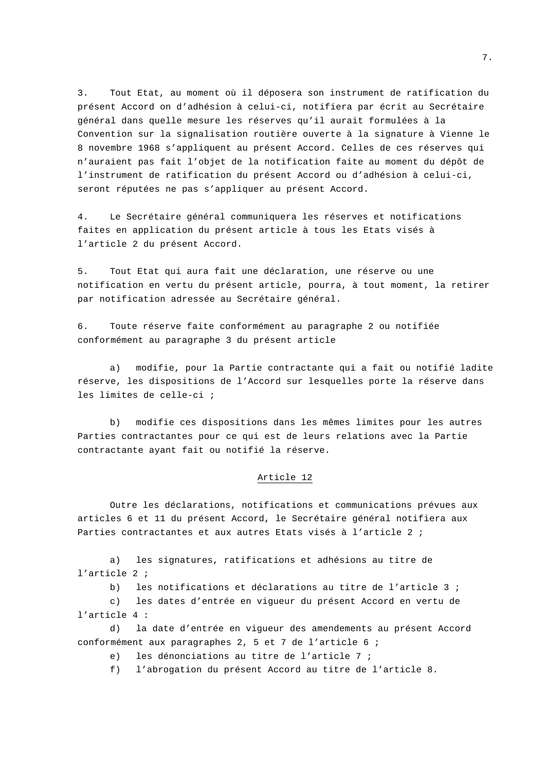3. Tout Etat, au moment où il déposera son instrument de ratification du présent Accord on d'adhésion à celui-ci, notifiera par écrit au Secrétaire général dans quelle mesure les réserves qu'il aurait formulées à la Convention sur la signalisation routière ouverte à la signature à Vienne le 8 novembre 1968 s'appliquent au présent Accord. Celles de ces réserves qui n'auraient pas fait l'objet de la notification faite au moment du dépôt de l'instrument de ratification du présent Accord ou d'adhésion à celui-ci, seront réputées ne pas s'appliquer au présent Accord.

4. Le Secrétaire général communiquera les réserves et notifications faites en application du présent article à tous les Etats visés à l'article 2 du présent Accord.

5. Tout Etat qui aura fait une déclaration, une réserve ou une notification en vertu du présent article, pourra, à tout moment, la retirer par notification adressée au Secrétaire général.

6. Toute réserve faite conformément au paragraphe 2 ou notifiée conformément au paragraphe 3 du présent article

a) modifie, pour la Partie contractante qui a fait ou notifié ladite réserve, les dispositions de l'Accord sur lesquelles porte la réserve dans les limites de celle-ci ;

b) modifie ces dispositions dans les mêmes limites pour les autres Parties contractantes pour ce qui est de leurs relations avec la Partie contractante ayant fait ou notifié la réserve.

# Article 12

Outre les déclarations, notifications et communications prévues aux articles 6 et 11 du présent Accord, le Secrétaire général notifiera aux Parties contractantes et aux autres Etats visés à l'article 2 ;

a) les signatures, ratifications et adhésions au titre de l'article 2 ;

b) les notifications et déclarations au titre de l'article 3 ;

c) les dates d'entrée en vigueur du présent Accord en vertu de l'article 4 :

d) la date d'entrée en vigueur des amendements au présent Accord conformément aux paragraphes 2, 5 et 7 de l'article 6 ;

e) les dénonciations au titre de l'article 7 ;

f) l'abrogation du présent Accord au titre de l'article 8.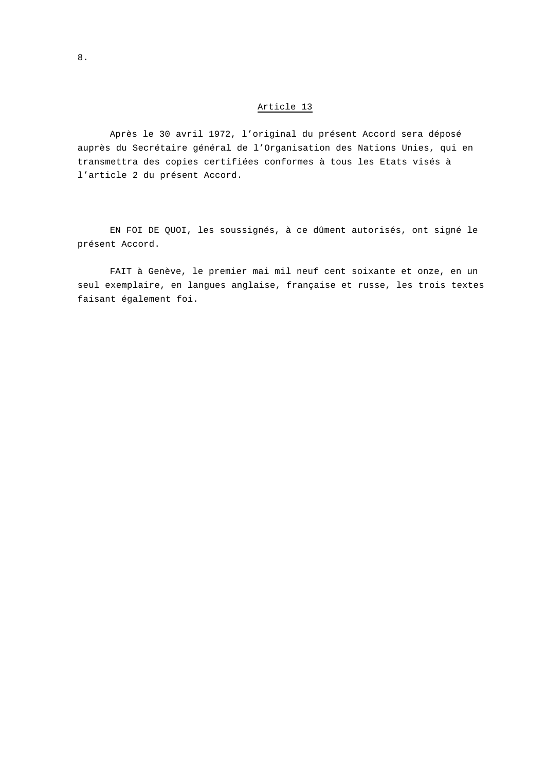Après le 30 avril 1972, l'original du présent Accord sera déposé auprès du Secrétaire général de l'Organisation des Nations Unies, qui en transmettra des copies certifiées conformes à tous les Etats visés à l'article 2 du présent Accord.

EN FOI DE QUOI, les soussignés, à ce dûment autorisés, ont signé le présent Accord.

FAIT à Genève, le premier mai mil neuf cent soixante et onze, en un seul exemplaire, en langues anglaise, française et russe, les trois textes faisant également foi.